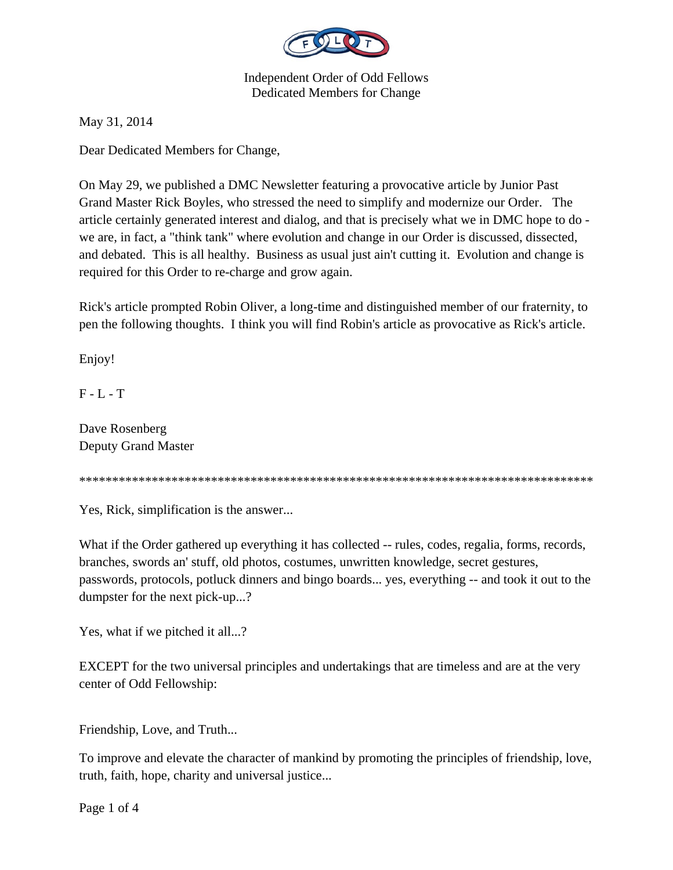

May 31, 2014

Dear Dedicated Members for Change,

On May 29, we published a DMC Newsletter featuring a provocative article by Junior Past Grand Master Rick Boyles, who stressed the need to simplify and modernize our Order. The article certainly generated interest and dialog, and that is precisely what we in DMC hope to do we are, in fact, a "think tank" where evolution and change in our Order is discussed, dissected, and debated. This is all healthy. Business as usual just ain't cutting it. Evolution and change is required for this Order to re-charge and grow again.

Rick's article prompted Robin Oliver, a long-time and distinguished member of our fraternity, to pen the following thoughts. I think you will find Robin's article as provocative as Rick's article.

Enjoy!

F - L - T

Dave Rosenberg Deputy Grand Master

\*\*\*\*\*\*\*\*\*\*\*\*\*\*\*\*\*\*\*\*\*\*\*\*\*\*\*\*\*\*\*\*\*\*\*\*\*\*\*\*\*\*\*\*\*\*\*\*\*\*\*\*\*\*\*\*\*\*\*\*\*\*\*\*\*\*\*\*\*\*\*\*\*\*\*\*\*\*

Yes, Rick, simplification is the answer...

What if the Order gathered up everything it has collected -- rules, codes, regalia, forms, records, branches, swords an' stuff, old photos, costumes, unwritten knowledge, secret gestures, passwords, protocols, potluck dinners and bingo boards... yes, everything -- and took it out to the dumpster for the next pick-up...?

Yes, what if we pitched it all...?

EXCEPT for the two universal principles and undertakings that are timeless and are at the very center of Odd Fellowship:

Friendship, Love, and Truth...

To improve and elevate the character of mankind by promoting the principles of friendship, love, truth, faith, hope, charity and universal justice...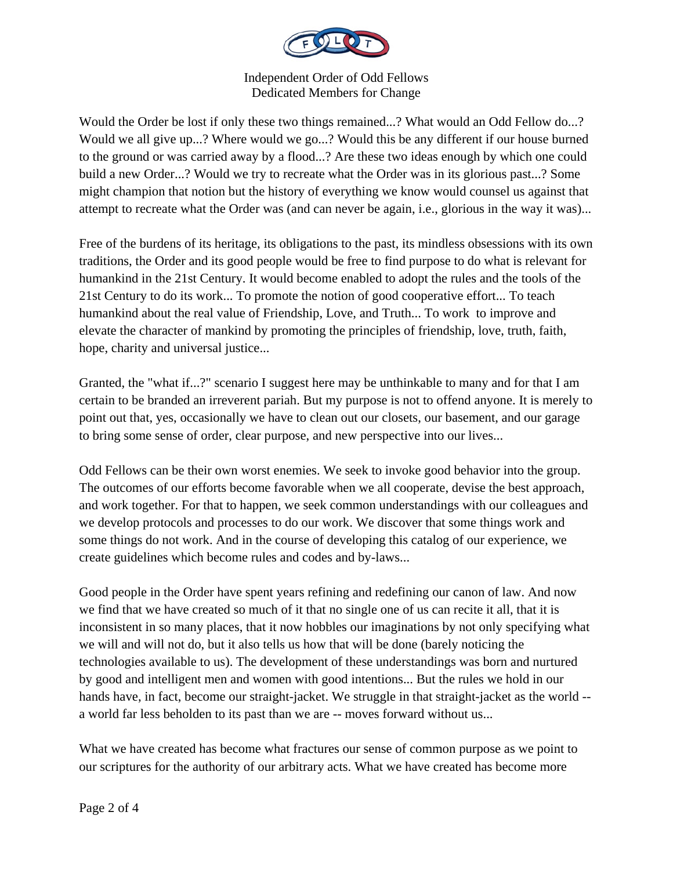

Would the Order be lost if only these two things remained...? What would an Odd Fellow do...? Would we all give up...? Where would we go...? Would this be any different if our house burned to the ground or was carried away by a flood...? Are these two ideas enough by which one could build a new Order...? Would we try to recreate what the Order was in its glorious past...? Some might champion that notion but the history of everything we know would counsel us against that attempt to recreate what the Order was (and can never be again, i.e., glorious in the way it was)...

Free of the burdens of its heritage, its obligations to the past, its mindless obsessions with its own traditions, the Order and its good people would be free to find purpose to do what is relevant for humankind in the 21st Century. It would become enabled to adopt the rules and the tools of the 21st Century to do its work... To promote the notion of good cooperative effort... To teach humankind about the real value of Friendship, Love, and Truth... To work to improve and elevate the character of mankind by promoting the principles of friendship, love, truth, faith, hope, charity and universal justice...

Granted, the "what if...?" scenario I suggest here may be unthinkable to many and for that I am certain to be branded an irreverent pariah. But my purpose is not to offend anyone. It is merely to point out that, yes, occasionally we have to clean out our closets, our basement, and our garage to bring some sense of order, clear purpose, and new perspective into our lives...

Odd Fellows can be their own worst enemies. We seek to invoke good behavior into the group. The outcomes of our efforts become favorable when we all cooperate, devise the best approach, and work together. For that to happen, we seek common understandings with our colleagues and we develop protocols and processes to do our work. We discover that some things work and some things do not work. And in the course of developing this catalog of our experience, we create guidelines which become rules and codes and by-laws...

Good people in the Order have spent years refining and redefining our canon of law. And now we find that we have created so much of it that no single one of us can recite it all, that it is inconsistent in so many places, that it now hobbles our imaginations by not only specifying what we will and will not do, but it also tells us how that will be done (barely noticing the technologies available to us). The development of these understandings was born and nurtured by good and intelligent men and women with good intentions... But the rules we hold in our hands have, in fact, become our straight-jacket. We struggle in that straight-jacket as the world - a world far less beholden to its past than we are -- moves forward without us...

What we have created has become what fractures our sense of common purpose as we point to our scriptures for the authority of our arbitrary acts. What we have created has become more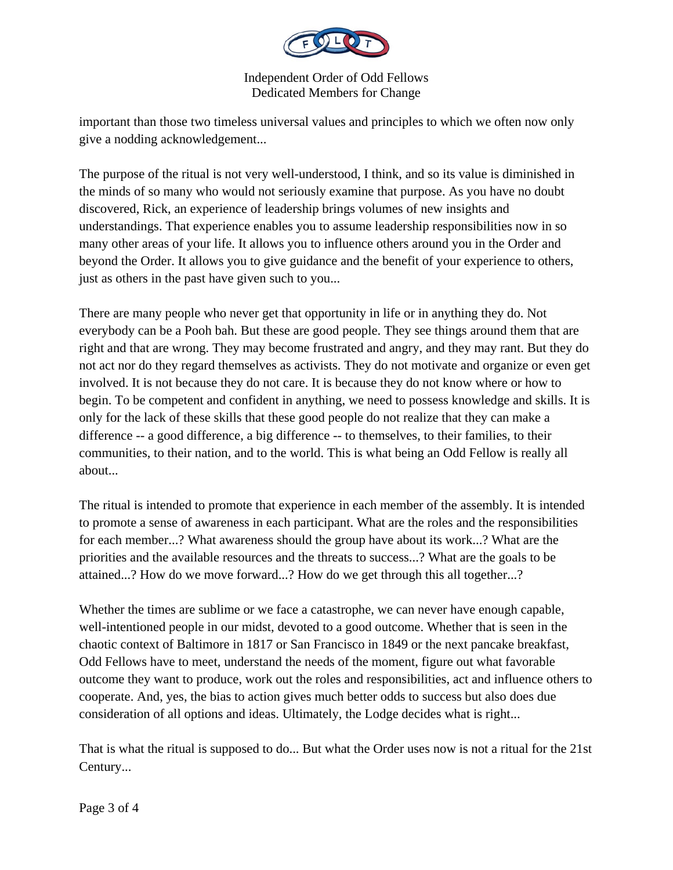

important than those two timeless universal values and principles to which we often now only give a nodding acknowledgement...

The purpose of the ritual is not very well-understood, I think, and so its value is diminished in the minds of so many who would not seriously examine that purpose. As you have no doubt discovered, Rick, an experience of leadership brings volumes of new insights and understandings. That experience enables you to assume leadership responsibilities now in so many other areas of your life. It allows you to influence others around you in the Order and beyond the Order. It allows you to give guidance and the benefit of your experience to others, just as others in the past have given such to you...

There are many people who never get that opportunity in life or in anything they do. Not everybody can be a Pooh bah. But these are good people. They see things around them that are right and that are wrong. They may become frustrated and angry, and they may rant. But they do not act nor do they regard themselves as activists. They do not motivate and organize or even get involved. It is not because they do not care. It is because they do not know where or how to begin. To be competent and confident in anything, we need to possess knowledge and skills. It is only for the lack of these skills that these good people do not realize that they can make a difference -- a good difference, a big difference -- to themselves, to their families, to their communities, to their nation, and to the world. This is what being an Odd Fellow is really all about...

The ritual is intended to promote that experience in each member of the assembly. It is intended to promote a sense of awareness in each participant. What are the roles and the responsibilities for each member...? What awareness should the group have about its work...? What are the priorities and the available resources and the threats to success...? What are the goals to be attained...? How do we move forward...? How do we get through this all together...?

Whether the times are sublime or we face a catastrophe, we can never have enough capable, well-intentioned people in our midst, devoted to a good outcome. Whether that is seen in the chaotic context of Baltimore in 1817 or San Francisco in 1849 or the next pancake breakfast, Odd Fellows have to meet, understand the needs of the moment, figure out what favorable outcome they want to produce, work out the roles and responsibilities, act and influence others to cooperate. And, yes, the bias to action gives much better odds to success but also does due consideration of all options and ideas. Ultimately, the Lodge decides what is right...

That is what the ritual is supposed to do... But what the Order uses now is not a ritual for the 21st Century...